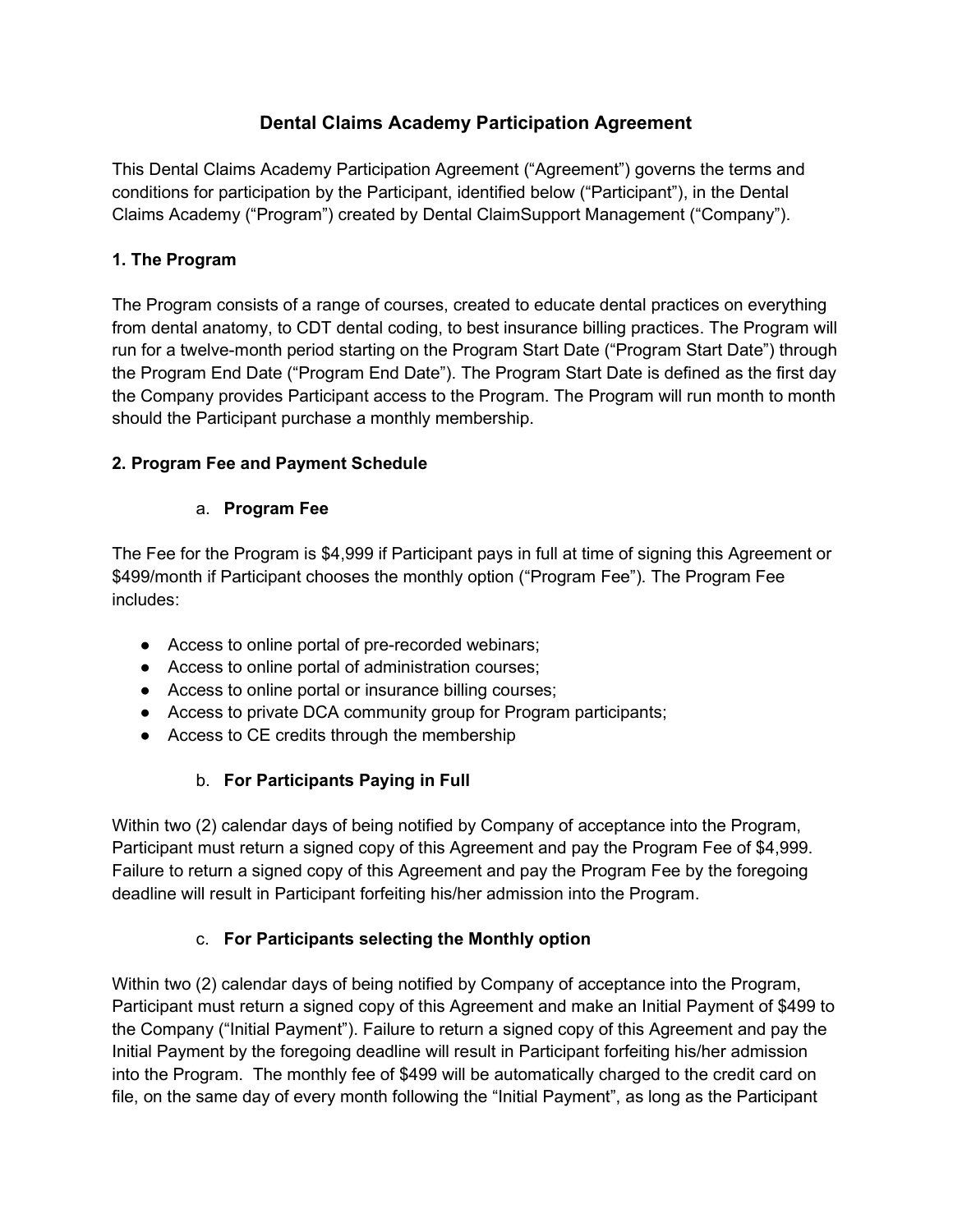# Dental Claims Academy Participation Agreement

This Dental Claims Academy Participation Agreement ("Agreement") governs the terms and conditions for participation by the Participant, identified below ("Participant"), in the Dental Claims Academy ("Program") created by Dental ClaimSupport Management ("Company").

## 1. The Program

The Program consists of a range of courses, created to educate dental practices on everything from dental anatomy, to CDT dental coding, to best insurance billing practices. The Program will run for a twelve-month period starting on the Program Start Date ("Program Start Date") through the Program End Date ("Program End Date"). The Program Start Date is defined as the first day the Company provides Participant access to the Program. The Program will run month to month should the Participant purchase a monthly membership.

## 2. Program Fee and Payment Schedule

### a. Program Fee

The Fee for the Program is \$4,999 if Participant pays in full at time of signing this Agreement or \$499/month if Participant chooses the monthly option ("Program Fee"). The Program Fee includes:

- Access to online portal of pre-recorded webinars;
- Access to online portal of administration courses;
- Access to online portal or insurance billing courses;
- Access to private DCA community group for Program participants;
- Access to CE credits through the membership

# b. For Participants Paying in Full

Within two (2) calendar days of being notified by Company of acceptance into the Program, Participant must return a signed copy of this Agreement and pay the Program Fee of \$4,999. Failure to return a signed copy of this Agreement and pay the Program Fee by the foregoing deadline will result in Participant forfeiting his/her admission into the Program.

### c. For Participants selecting the Monthly option

Within two (2) calendar days of being notified by Company of acceptance into the Program, Participant must return a signed copy of this Agreement and make an Initial Payment of \$499 to the Company ("Initial Payment"). Failure to return a signed copy of this Agreement and pay the Initial Payment by the foregoing deadline will result in Participant forfeiting his/her admission into the Program. The monthly fee of \$499 will be automatically charged to the credit card on file, on the same day of every month following the "Initial Payment", as long as the Participant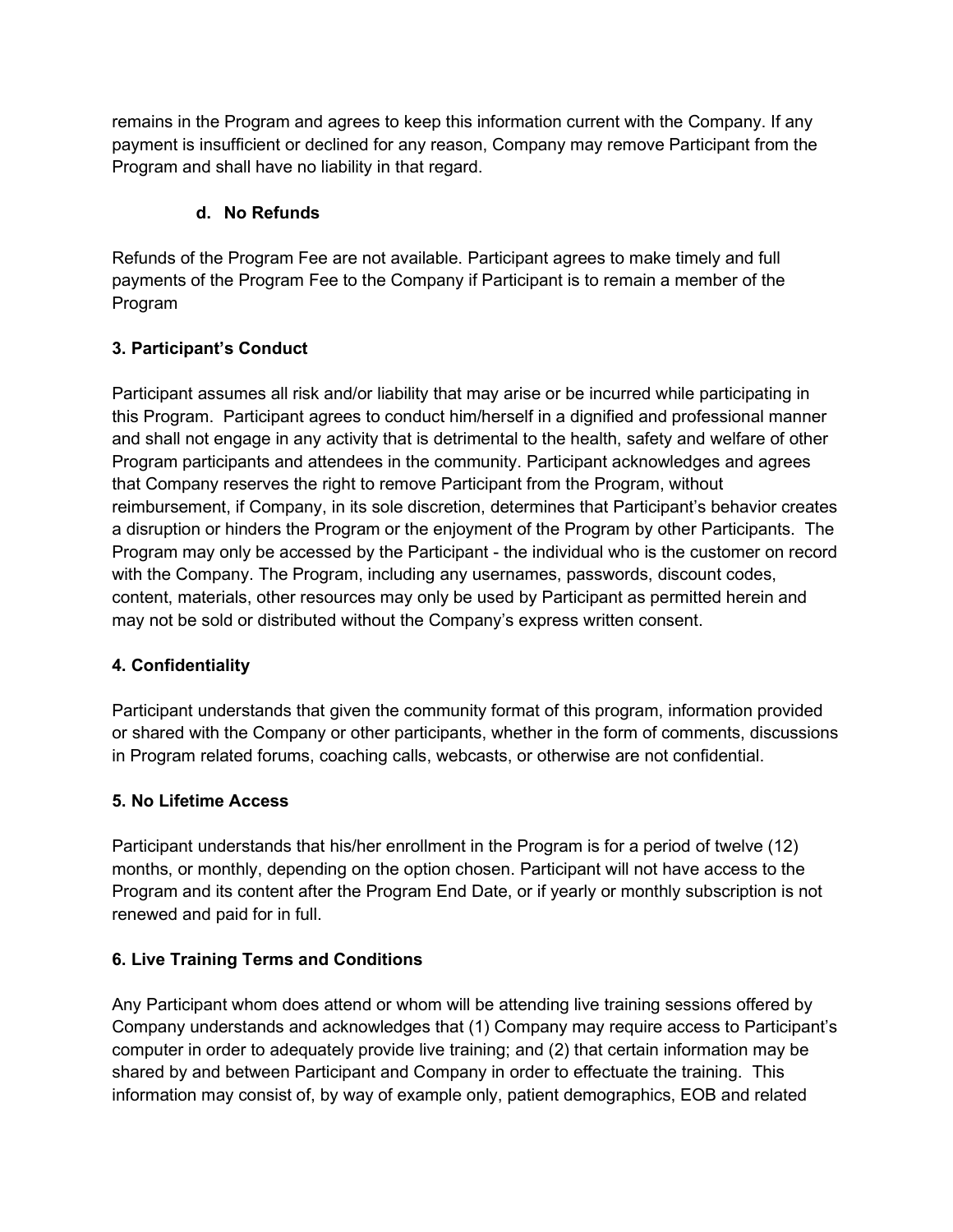remains in the Program and agrees to keep this information current with the Company. If any payment is insufficient or declined for any reason, Company may remove Participant from the Program and shall have no liability in that regard.

# d. No Refunds

Refunds of the Program Fee are not available. Participant agrees to make timely and full payments of the Program Fee to the Company if Participant is to remain a member of the Program

## 3. Participant's Conduct

Participant assumes all risk and/or liability that may arise or be incurred while participating in this Program. Participant agrees to conduct him/herself in a dignified and professional manner and shall not engage in any activity that is detrimental to the health, safety and welfare of other Program participants and attendees in the community. Participant acknowledges and agrees that Company reserves the right to remove Participant from the Program, without reimbursement, if Company, in its sole discretion, determines that Participant's behavior creates a disruption or hinders the Program or the enjoyment of the Program by other Participants. The Program may only be accessed by the Participant - the individual who is the customer on record with the Company. The Program, including any usernames, passwords, discount codes, content, materials, other resources may only be used by Participant as permitted herein and may not be sold or distributed without the Company's express written consent.

### 4. Confidentiality

Participant understands that given the community format of this program, information provided or shared with the Company or other participants, whether in the form of comments, discussions in Program related forums, coaching calls, webcasts, or otherwise are not confidential.

### 5. No Lifetime Access

Participant understands that his/her enrollment in the Program is for a period of twelve (12) months, or monthly, depending on the option chosen. Participant will not have access to the Program and its content after the Program End Date, or if yearly or monthly subscription is not renewed and paid for in full.

### 6. Live Training Terms and Conditions

Any Participant whom does attend or whom will be attending live training sessions offered by Company understands and acknowledges that (1) Company may require access to Participant's computer in order to adequately provide live training; and (2) that certain information may be shared by and between Participant and Company in order to effectuate the training. This information may consist of, by way of example only, patient demographics, EOB and related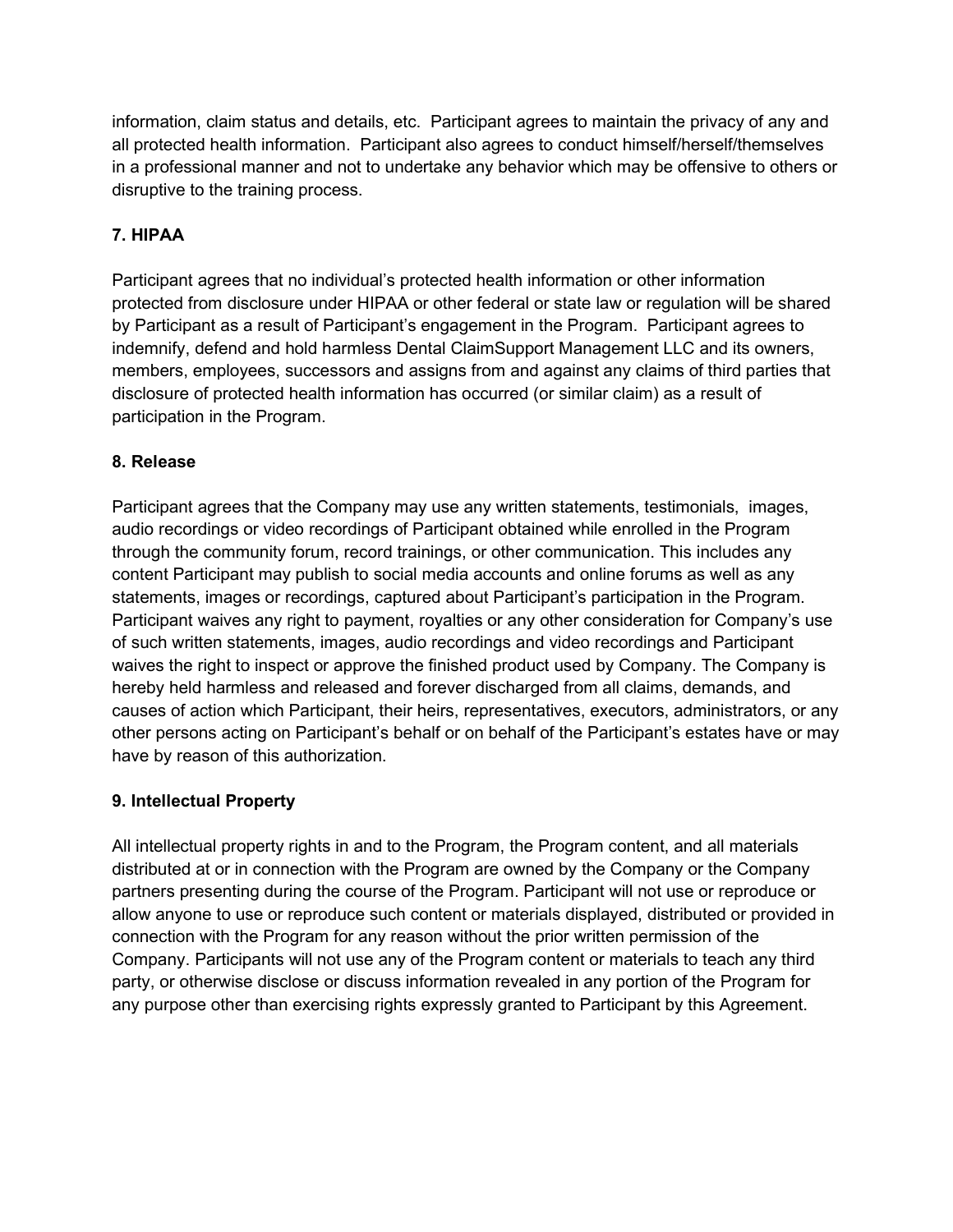information, claim status and details, etc. Participant agrees to maintain the privacy of any and all protected health information. Participant also agrees to conduct himself/herself/themselves in a professional manner and not to undertake any behavior which may be offensive to others or disruptive to the training process.

# 7. HIPAA

Participant agrees that no individual's protected health information or other information protected from disclosure under HIPAA or other federal or state law or regulation will be shared by Participant as a result of Participant's engagement in the Program. Participant agrees to indemnify, defend and hold harmless Dental ClaimSupport Management LLC and its owners, members, employees, successors and assigns from and against any claims of third parties that disclosure of protected health information has occurred (or similar claim) as a result of participation in the Program.

### 8. Release

Participant agrees that the Company may use any written statements, testimonials, images, audio recordings or video recordings of Participant obtained while enrolled in the Program through the community forum, record trainings, or other communication. This includes any content Participant may publish to social media accounts and online forums as well as any statements, images or recordings, captured about Participant's participation in the Program. Participant waives any right to payment, royalties or any other consideration for Company's use of such written statements, images, audio recordings and video recordings and Participant waives the right to inspect or approve the finished product used by Company. The Company is hereby held harmless and released and forever discharged from all claims, demands, and causes of action which Participant, their heirs, representatives, executors, administrators, or any other persons acting on Participant's behalf or on behalf of the Participant's estates have or may have by reason of this authorization.

#### 9. Intellectual Property

All intellectual property rights in and to the Program, the Program content, and all materials distributed at or in connection with the Program are owned by the Company or the Company partners presenting during the course of the Program. Participant will not use or reproduce or allow anyone to use or reproduce such content or materials displayed, distributed or provided in connection with the Program for any reason without the prior written permission of the Company. Participants will not use any of the Program content or materials to teach any third party, or otherwise disclose or discuss information revealed in any portion of the Program for any purpose other than exercising rights expressly granted to Participant by this Agreement.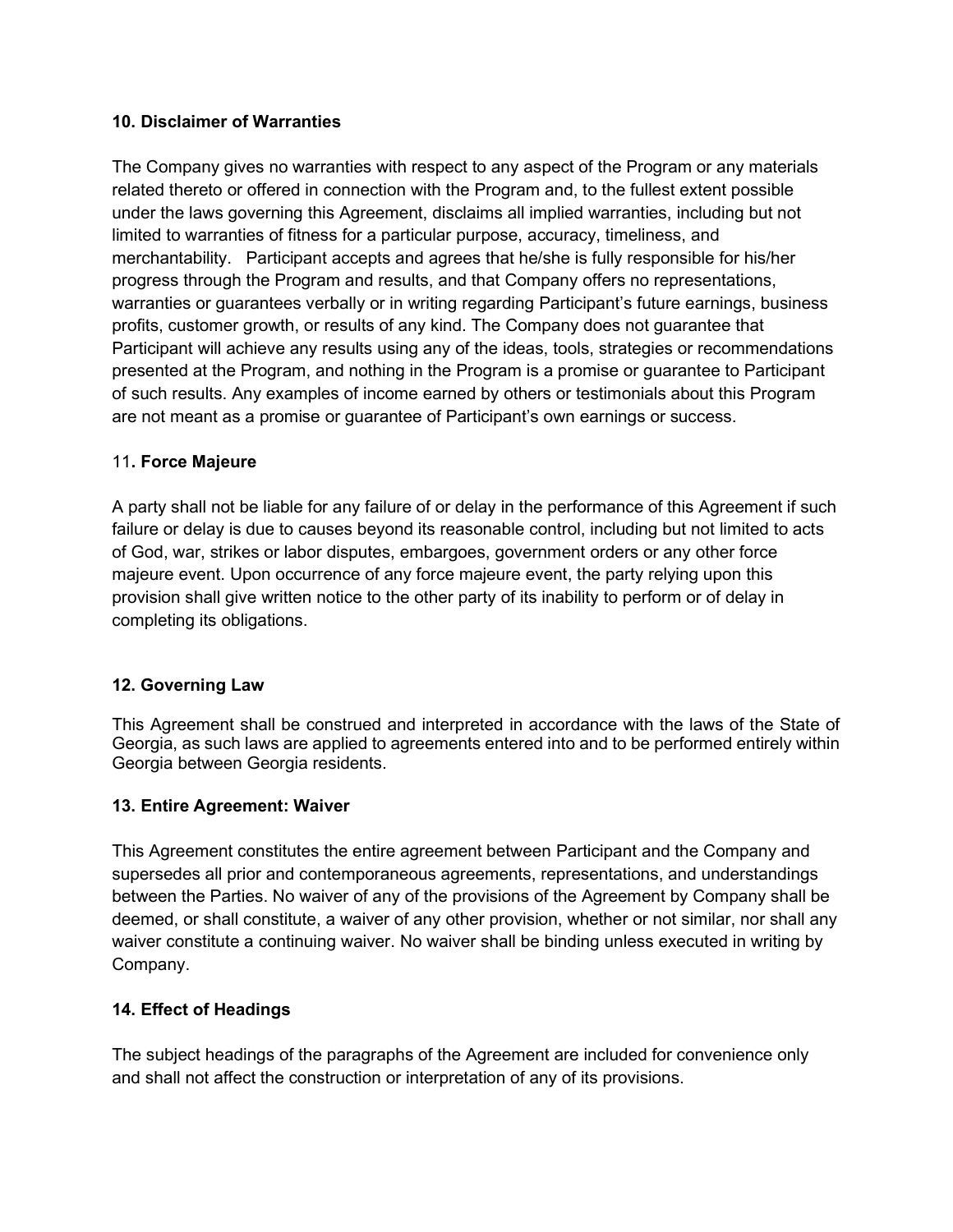#### 10. Disclaimer of Warranties

The Company gives no warranties with respect to any aspect of the Program or any materials related thereto or offered in connection with the Program and, to the fullest extent possible under the laws governing this Agreement, disclaims all implied warranties, including but not limited to warranties of fitness for a particular purpose, accuracy, timeliness, and merchantability. Participant accepts and agrees that he/she is fully responsible for his/her progress through the Program and results, and that Company offers no representations, warranties or guarantees verbally or in writing regarding Participant's future earnings, business profits, customer growth, or results of any kind. The Company does not guarantee that Participant will achieve any results using any of the ideas, tools, strategies or recommendations presented at the Program, and nothing in the Program is a promise or guarantee to Participant of such results. Any examples of income earned by others or testimonials about this Program are not meant as a promise or guarantee of Participant's own earnings or success.

#### 11. Force Majeure

A party shall not be liable for any failure of or delay in the performance of this Agreement if such failure or delay is due to causes beyond its reasonable control, including but not limited to acts of God, war, strikes or labor disputes, embargoes, government orders or any other force majeure event. Upon occurrence of any force majeure event, the party relying upon this provision shall give written notice to the other party of its inability to perform or of delay in completing its obligations.

#### 12. Governing Law

This Agreement shall be construed and interpreted in accordance with the laws of the State of Georgia, as such laws are applied to agreements entered into and to be performed entirely within Georgia between Georgia residents.

#### 13. Entire Agreement: Waiver

This Agreement constitutes the entire agreement between Participant and the Company and supersedes all prior and contemporaneous agreements, representations, and understandings between the Parties. No waiver of any of the provisions of the Agreement by Company shall be deemed, or shall constitute, a waiver of any other provision, whether or not similar, nor shall any waiver constitute a continuing waiver. No waiver shall be binding unless executed in writing by Company.

#### 14. Effect of Headings

The subject headings of the paragraphs of the Agreement are included for convenience only and shall not affect the construction or interpretation of any of its provisions.